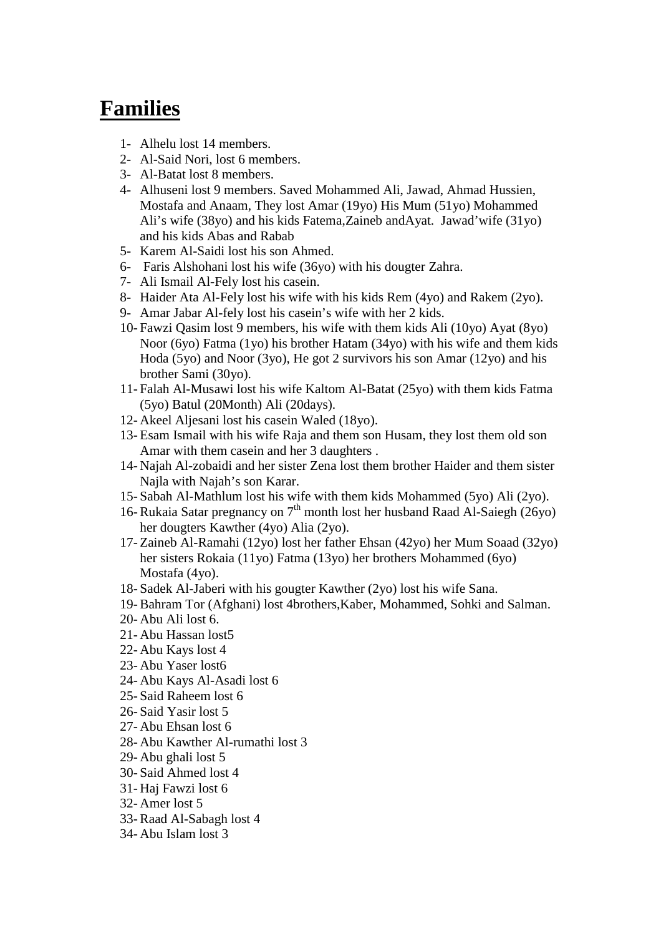## **Families**

- 1- Alhelu lost 14 members.
- 2- Al-Said Nori, lost 6 members.
- 3- Al-Batat lost 8 members.
- 4- Alhuseni lost 9 members. Saved Mohammed Ali, Jawad, Ahmad Hussien, Mostafa and Anaam, They lost Amar (19yo) His Mum (51yo) Mohammed Ali's wife (38yo) and his kids Fatema,Zaineb andAyat. Jawad'wife (31yo) and his kids Abas and Rabab
- 5- Karem Al-Saidi lost his son Ahmed.
- 6- Faris Alshohani lost his wife (36yo) with his dougter Zahra.
- 7- Ali Ismail Al-Fely lost his casein.
- 8- Haider Ata Al-Fely lost his wife with his kids Rem (4yo) and Rakem (2yo).
- 9- Amar Jabar Al-fely lost his casein's wife with her 2 kids.
- 10- Fawzi Qasim lost 9 members, his wife with them kids Ali (10yo) Ayat (8yo) Noor (6yo) Fatma (1yo) his brother Hatam (34yo) with his wife and them kids Hoda (5yo) and Noor (3yo), He got 2 survivors his son Amar (12yo) and his brother Sami (30yo).
- 11- Falah Al-Musawi lost his wife Kaltom Al-Batat (25yo) with them kids Fatma (5yo) Batul (20Month) Ali (20days).
- 12- Akeel Aljesani lost his casein Waled (18yo).
- 13- Esam Ismail with his wife Raja and them son Husam, they lost them old son Amar with them casein and her 3 daughters .
- 14- Najah Al-zobaidi and her sister Zena lost them brother Haider and them sister Najla with Najah's son Karar.
- 15- Sabah Al-Mathlum lost his wife with them kids Mohammed (5yo) Ali (2yo).
- 16- Rukaia Satar pregnancy on  $7<sup>th</sup>$  month lost her husband Raad Al-Saiegh (26yo) her dougters Kawther (4yo) Alia (2yo).
- 17- Zaineb Al-Ramahi (12yo) lost her father Ehsan (42yo) her Mum Soaad (32yo) her sisters Rokaia (11yo) Fatma (13yo) her brothers Mohammed (6yo) Mostafa (4yo).
- 18- Sadek Al-Jaberi with his gougter Kawther (2yo) lost his wife Sana.
- 19- Bahram Tor (Afghani) lost 4brothers,Kaber, Mohammed, Sohki and Salman.
- 20- Abu Ali lost 6.
- 21- Abu Hassan lost5
- 22- Abu Kays lost 4
- 23- Abu Yaser lost6
- 24- Abu Kays Al-Asadi lost 6
- 25- Said Raheem lost 6
- 26- Said Yasir lost 5
- 27- Abu Ehsan lost 6
- 28- Abu Kawther Al-rumathi lost 3
- 29- Abu ghali lost 5
- 30- Said Ahmed lost 4
- 31- Haj Fawzi lost 6
- 32- Amer lost 5
- 33- Raad Al-Sabagh lost 4
- 34- Abu Islam lost 3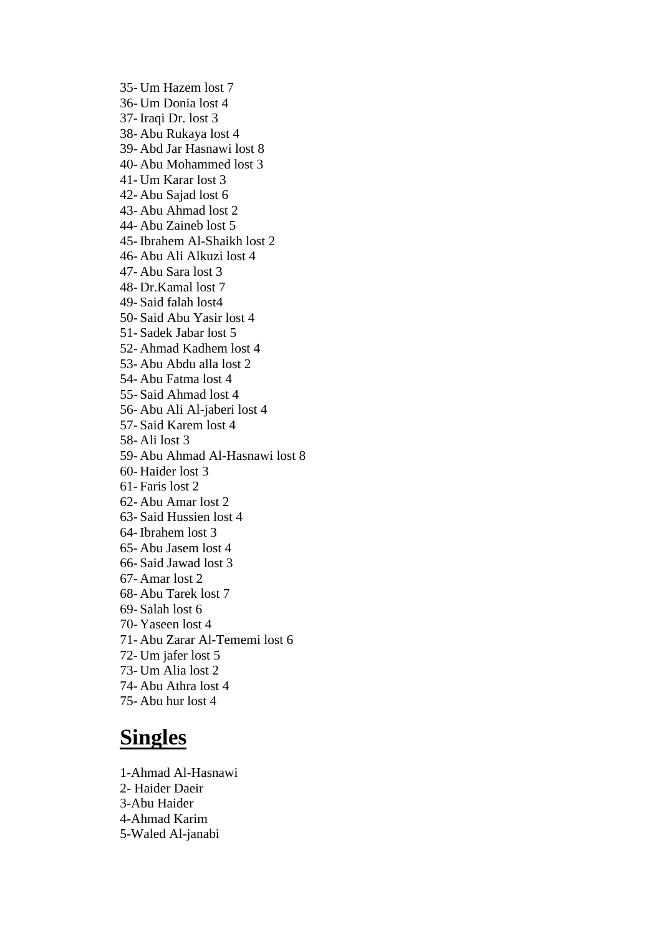35- Um Hazem lost 7 36- Um Donia lost 4 37- Iraqi Dr. lost 3 38- Abu Rukaya lost 4 39- Abd Jar Hasnawi lost 8 40- Abu Mohammed lost 3 41- Um Karar lost 3 42- Abu Sajad lost 6 43- Abu Ahmad lost 2 44- Abu Zaineb lost 5 45- Ibrahem Al-Shaikh lost 2 46- Abu Ali Alkuzi lost 4 47- Abu Sara lost 3 48- Dr.Kamal lost 7 49- Said falah lost4 50- Said Abu Yasir lost 4 51- Sadek Jabar lost 5 52- Ahmad Kadhem lost 4 53- Abu Abdu alla lost 2 54- Abu Fatma lost 4 55- Said Ahmad lost 4 56- Abu Ali Al-jaberi lost 4 57- Said Karem lost 4 58- Ali lost 3 59- Abu Ahmad Al-Hasnawi lost 8 60- Haider lost 3 61- Faris lost 2 62- Abu Amar lost 2 63- Said Hussien lost 4 64- Ibrahem lost 3 65- Abu Jasem lost 4 66- Said Jawad lost 3 67- Amar lost 2 68- Abu Tarek lost 7 69- Salah lost 6 70- Yaseen lost 4 71- Abu Zarar Al-Tememi lost 6 72- Um jafer lost 5 73- Um Alia lost 2 74- Abu Athra lost 4 75- Abu hur lost 4

## **Singles**

1-Ahmad Al-Hasnawi 2- Haider Daeir 3-Abu Haider 4-Ahmad Karim 5-Waled Al-janabi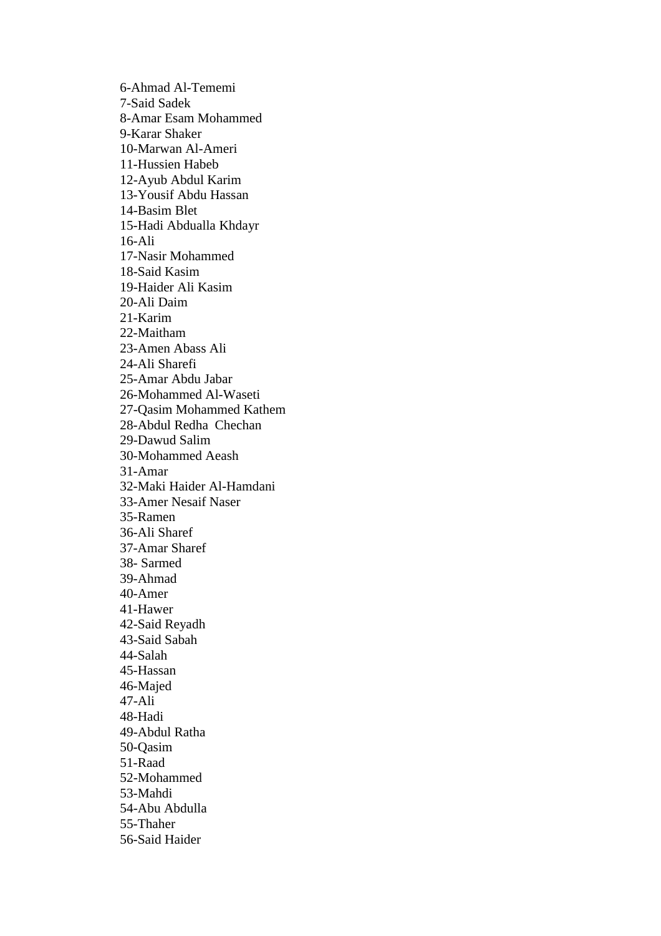6-Ahmad Al-Tememi 7-Said Sadek 8-Amar Esam Mohammed 9-Karar Shaker 10-Marwan Al-Ameri 11-Hussien Habeb 12-Ayub Abdul Karim 13-Yousif Abdu Hassan 14-Basim Blet 15-Hadi Abdualla Khdayr 16-Ali 17-Nasir Mohammed 18-Said Kasim 19-Haider Ali Kasim 20-Ali Daim 21-Karim 22-Maitham 23-Amen Abass Ali 24-Ali Sharefi 25-Amar Abdu Jabar 26-Mohammed Al-Waseti 27-Qasim Mohammed Kathem 28-Abdul Redha Chechan 29-Dawud Salim 30-Mohammed Aeash 31-Amar 32-Maki Haider Al-Hamdani 33-Amer Nesaif Naser 35-Ramen 36-Ali Sharef 37-Amar Sharef 38- Sarmed 39-Ahmad 40-Amer 41-Hawer 42-Said Reyadh 43-Said Sabah 44-Salah 45-Hassan 46-Majed 47-Ali 48-Hadi 49-Abdul Ratha 50-Qasim 51-Raad 52-Mohammed 53-Mahdi 54-Abu Abdulla 55-Thaher 56-Said Haider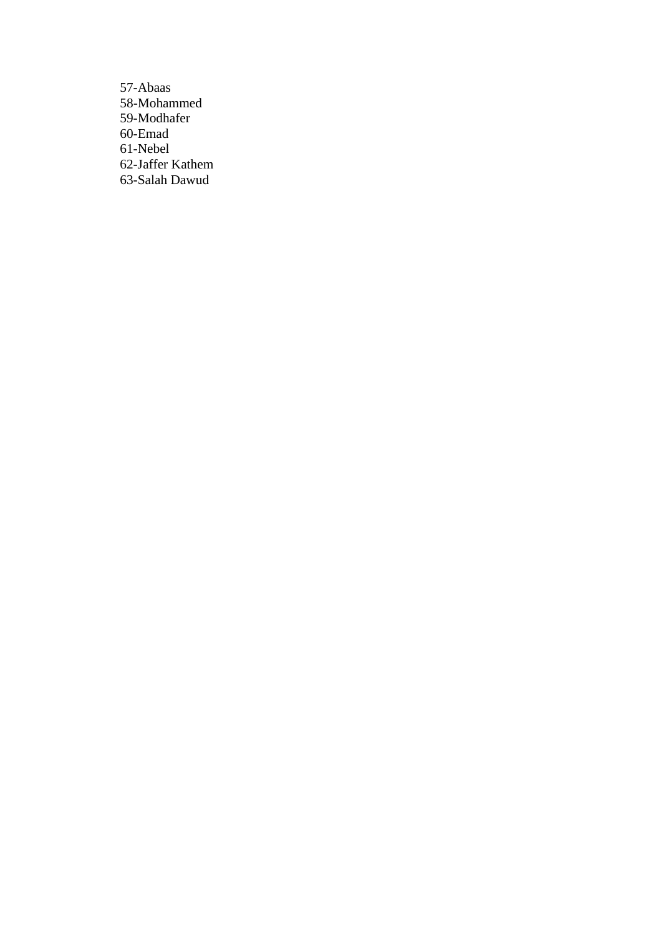57-Abaas 58-Mohammed 59-Modhafer 60-Emad 61-Nebel 62-Jaffer Kathem 63-Salah Dawud